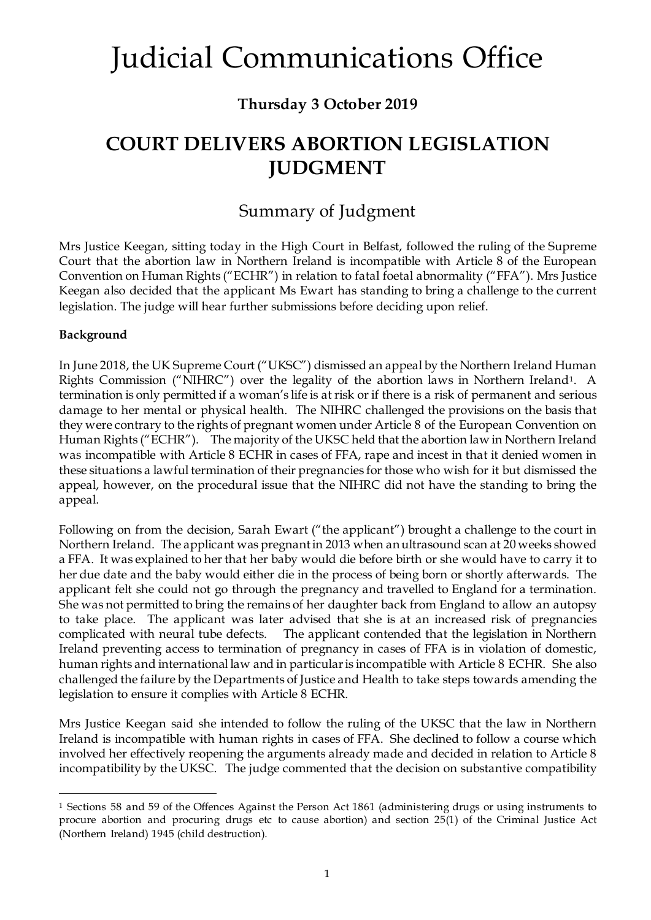### **Thursday 3 October 2019**

### **COURT DELIVERS ABORTION LEGISLATION JUDGMENT**

### Summary of Judgment

Mrs Justice Keegan, sitting today in the High Court in Belfast, followed the ruling of the Supreme Court that the abortion law in Northern Ireland is incompatible with Article 8 of the European Convention on Human Rights ("ECHR") in relation to fatal foetal abnormality ("FFA"). Mrs Justice Keegan also decided that the applicant Ms Ewart has standing to bring a challenge to the current legislation. The judge will hear further submissions before deciding upon relief.

#### **Background**

In June 2018, the UK Supreme Court ("UKSC") dismissed an appeal by the Northern Ireland Human Rights Commission ("NIHRC") over the legality of the abortion laws in Northern Ireland[1](#page-0-0). A termination is only permitted if a woman's life is at risk or if there is a risk of permanent and serious damage to her mental or physical health. The NIHRC challenged the provisions on the basis that they were contrary to the rights of pregnant women under Article 8 of the European Convention on Human Rights ("ECHR"). The majority of the UKSC held that the abortion law in Northern Ireland was incompatible with Article 8 ECHR in cases of FFA, rape and incest in that it denied women in these situations a lawful termination of their pregnancies for those who wish for it but dismissed the appeal, however, on the procedural issue that the NIHRC did not have the standing to bring the appeal.

Following on from the decision, Sarah Ewart ("the applicant") brought a challenge to the court in Northern Ireland. The applicant was pregnant in 2013 when an ultrasound scan at 20 weeks showed a FFA. It was explained to her that her baby would die before birth or she would have to carry it to her due date and the baby would either die in the process of being born or shortly afterwards. The applicant felt she could not go through the pregnancy and travelled to England for a termination. She was not permitted to bring the remains of her daughter back from England to allow an autopsy to take place. The applicant was later advised that she is at an increased risk of pregnancies complicated with neural tube defects. The applicant contended that the legislation in Northern Ireland preventing access to termination of pregnancy in cases of FFA is in violation of domestic, human rights and international law and in particular is incompatible with Article 8 ECHR. She also challenged the failure by the Departments of Justice and Health to take steps towards amending the legislation to ensure it complies with Article 8 ECHR.

Mrs Justice Keegan said she intended to follow the ruling of the UKSC that the law in Northern Ireland is incompatible with human rights in cases of FFA. She declined to follow a course which involved her effectively reopening the arguments already made and decided in relation to Article 8 incompatibility by the UKSC. The judge commented that the decision on substantive compatibility

<span id="page-0-0"></span> <sup>1</sup> Sections 58 and 59 of the Offences Against the Person Act 1861 (administering drugs or using instruments to procure abortion and procuring drugs etc to cause abortion) and section 25(1) of the Criminal Justice Act (Northern Ireland) 1945 (child destruction).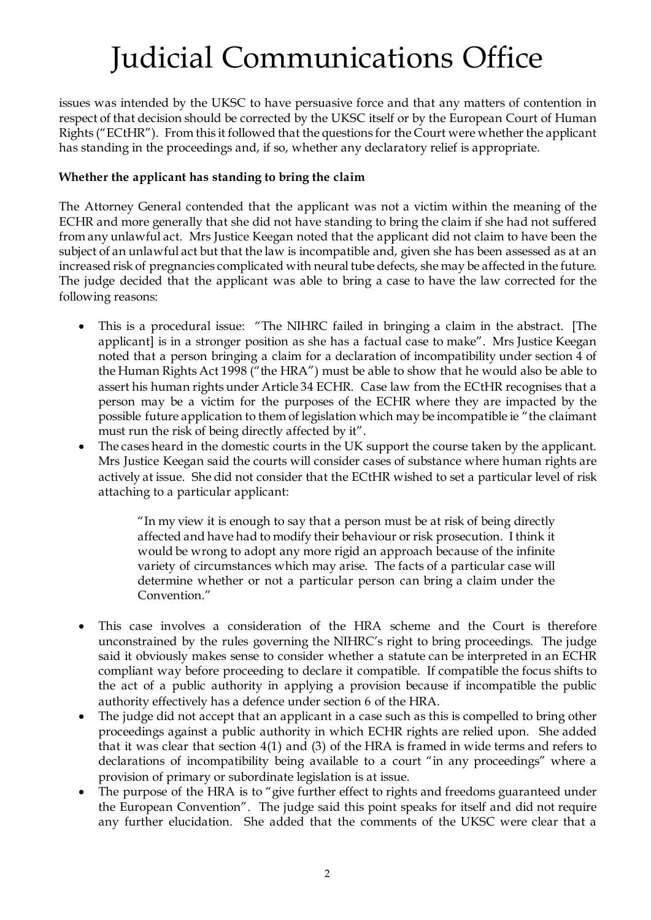issues was intended by the UKSC to have persuasive force and that any matters of contention in respect of that decision should be corrected by the UKSC itself or by the European Court of Human Rights ("ECtHR"). From this it followed that the questions for the Court were whether the applicant has standing in the proceedings and, if so, whether any declaratory relief is appropriate.

#### **Whether the applicant has standing to bring the claim**

The Attorney General contended that the applicant was not a victim within the meaning of the ECHR and more generally that she did not have standing to bring the claim if she had not suffered from any unlawful act. Mrs Justice Keegan noted that the applicant did not claim to have been the subject of an unlawful act but that the law is incompatible and, given she has been assessed as at an increased risk of pregnancies complicated with neural tube defects, she may be affected in the future. The judge decided that the applicant was able to bring a case to have the law corrected for the following reasons:

- This is a procedural issue: "The NIHRC failed in bringing a claim in the abstract. [The applicant] is in a stronger position as she has a factual case to make". Mrs Justice Keegan noted that a person bringing a claim for a declaration of incompatibility under section 4 of the Human Rights Act 1998 ("the HRA") must be able to show that he would also be able to assert his human rights under Article 34 ECHR. Case law from the ECtHR recognises that a person may be a victim for the purposes of the ECHR where they are impacted by the possible future application to them of legislation which may be incompatible ie "the claimant must run the risk of being directly affected by it".
- The cases heard in the domestic courts in the UK support the course taken by the applicant. Mrs Justice Keegan said the courts will consider cases of substance where human rights are actively at issue. She did not consider that the ECtHR wished to set a particular level of risk attaching to a particular applicant:

"In my view it is enough to say that a person must be at risk of being directly affected and have had to modify their behaviour or risk prosecution. I think it would be wrong to adopt any more rigid an approach because of the infinite variety of circumstances which may arise. The facts of a particular case will determine whether or not a particular person can bring a claim under the Convention."

- This case involves a consideration of the HRA scheme and the Court is therefore unconstrained by the rules governing the NIHRC's right to bring proceedings. The judge said it obviously makes sense to consider whether a statute can be interpreted in an ECHR compliant way before proceeding to declare it compatible. If compatible the focus shifts to the act of a public authority in applying a provision because if incompatible the public authority effectively has a defence under section 6 of the HRA.
- The judge did not accept that an applicant in a case such as this is compelled to bring other proceedings against a public authority in which ECHR rights are relied upon. She added that it was clear that section 4(1) and (3) of the HRA is framed in wide terms and refers to declarations of incompatibility being available to a court "in any proceedings" where a provision of primary or subordinate legislation is at issue.
- The purpose of the HRA is to "give further effect to rights and freedoms guaranteed under the European Convention". The judge said this point speaks for itself and did not require any further elucidation. She added that the comments of the UKSC were clear that a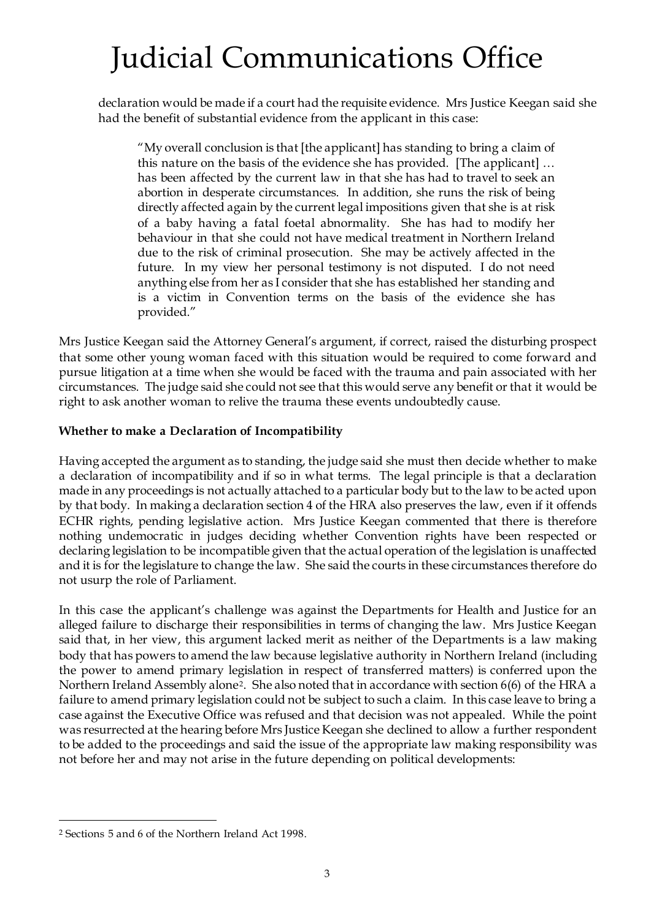declaration would be made if a court had the requisite evidence. Mrs Justice Keegan said she had the benefit of substantial evidence from the applicant in this case:

"My overall conclusion is that [the applicant] has standing to bring a claim of this nature on the basis of the evidence she has provided. [The applicant] … has been affected by the current law in that she has had to travel to seek an abortion in desperate circumstances. In addition, she runs the risk of being directly affected again by the current legal impositions given that she is at risk of a baby having a fatal foetal abnormality. She has had to modify her behaviour in that she could not have medical treatment in Northern Ireland due to the risk of criminal prosecution. She may be actively affected in the future. In my view her personal testimony is not disputed. I do not need anything else from her as I consider that she has established her standing and is a victim in Convention terms on the basis of the evidence she has provided."

Mrs Justice Keegan said the Attorney General's argument, if correct, raised the disturbing prospect that some other young woman faced with this situation would be required to come forward and pursue litigation at a time when she would be faced with the trauma and pain associated with her circumstances. The judge said she could not see that this would serve any benefit or that it would be right to ask another woman to relive the trauma these events undoubtedly cause.

#### **Whether to make a Declaration of Incompatibility**

Having accepted the argument as to standing, the judge said she must then decide whether to make a declaration of incompatibility and if so in what terms. The legal principle is that a declaration made in any proceedings is not actually attached to a particular body but to the law to be acted upon by that body. In making a declaration section 4 of the HRA also preserves the law, even if it offends ECHR rights, pending legislative action. Mrs Justice Keegan commented that there is therefore nothing undemocratic in judges deciding whether Convention rights have been respected or declaring legislation to be incompatible given that the actual operation of the legislation is unaffected and it is for the legislature to change the law. She said the courts in these circumstances therefore do not usurp the role of Parliament.

In this case the applicant's challenge was against the Departments for Health and Justice for an alleged failure to discharge their responsibilities in terms of changing the law. Mrs Justice Keegan said that, in her view, this argument lacked merit as neither of the Departments is a law making body that has powers to amend the law because legislative authority in Northern Ireland (including the power to amend primary legislation in respect of transferred matters) is conferred upon the Northern Ireland Assembly alone[2](#page-2-0). She also noted that in accordance with section 6(6) of the HRA a failure to amend primary legislation could not be subject to such a claim. In this case leave to bring a case against the Executive Office was refused and that decision was not appealed. While the point was resurrected at the hearing before Mrs Justice Keegan she declined to allow a further respondent to be added to the proceedings and said the issue of the appropriate law making responsibility was not before her and may not arise in the future depending on political developments:

<span id="page-2-0"></span> <sup>2</sup> Sections 5 and 6 of the Northern Ireland Act 1998.